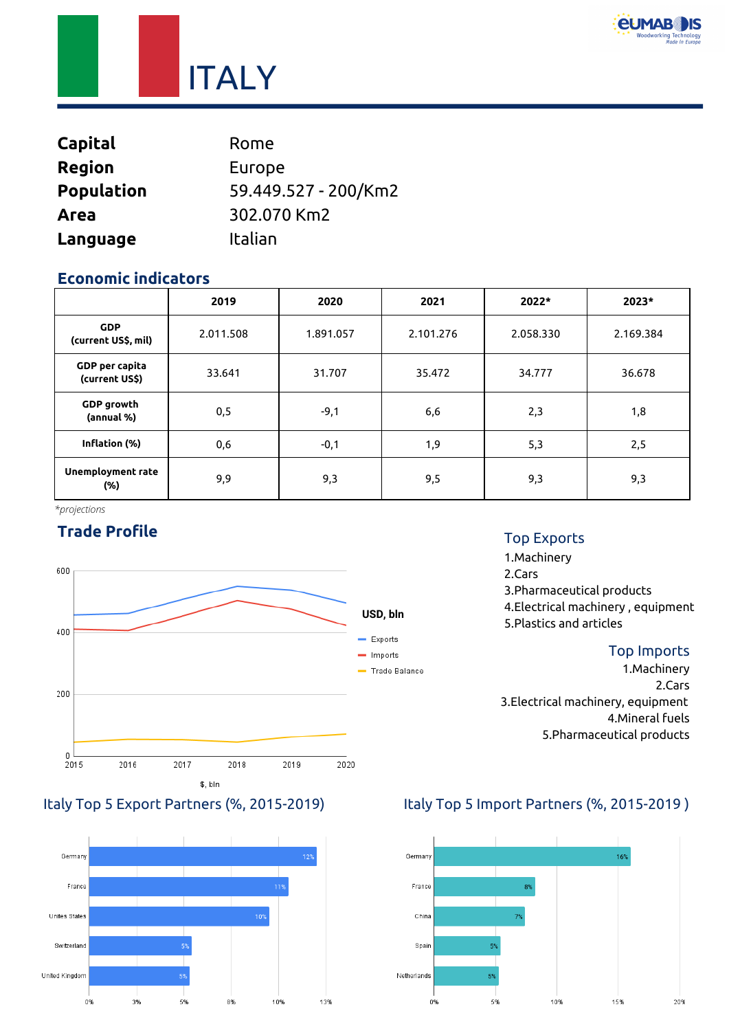

**ITALY** 

| <b>Capital</b>    | Rome                 |
|-------------------|----------------------|
| <b>Region</b>     | Europe               |
| <b>Population</b> | 59.449.527 - 200/Km2 |
| Area              | 302.070 Km2          |
| Language          | Italian              |

#### **Economic indicators**

|                                         | 2019      | 2020      | 2021      | 2022*     | 2023*     |
|-----------------------------------------|-----------|-----------|-----------|-----------|-----------|
| <b>GDP</b><br>(current US\$, mil)       | 2.011.508 | 1.891.057 | 2.101.276 | 2.058.330 | 2.169.384 |
| <b>GDP</b> per capita<br>(current US\$) | 33.641    | 31.707    | 35.472    | 34.777    | 36.678    |
| <b>GDP</b> growth<br>(annual %)         | 0,5       | $-9,1$    | 6,6       | 2,3       | 1,8       |
| Inflation (%)                           | 0,6       | $-0,1$    | 1,9       | 5,3       | 2,5       |
| <b>Unemployment rate</b><br>$(\%)$      | 9,9       | 9,3       | 9,5       | 9,3       | 9,3       |

*\*projections*

## **Trade Profile**





#### Top Exports

1.Machinery 2.Cars 3.Pharmaceutical products 4.Electrical machinery , equipment 5.Plastics and articles

#### Top Imports

1.Machinery 2.Cars 3.Electrical machinery, equipment 4.Mineral fuels 5.Pharmaceutical products

#### Italy Top 5 Export Partners (%, 2015-2019) Italy Top 5 Import Partners (%, 2015-2019 )

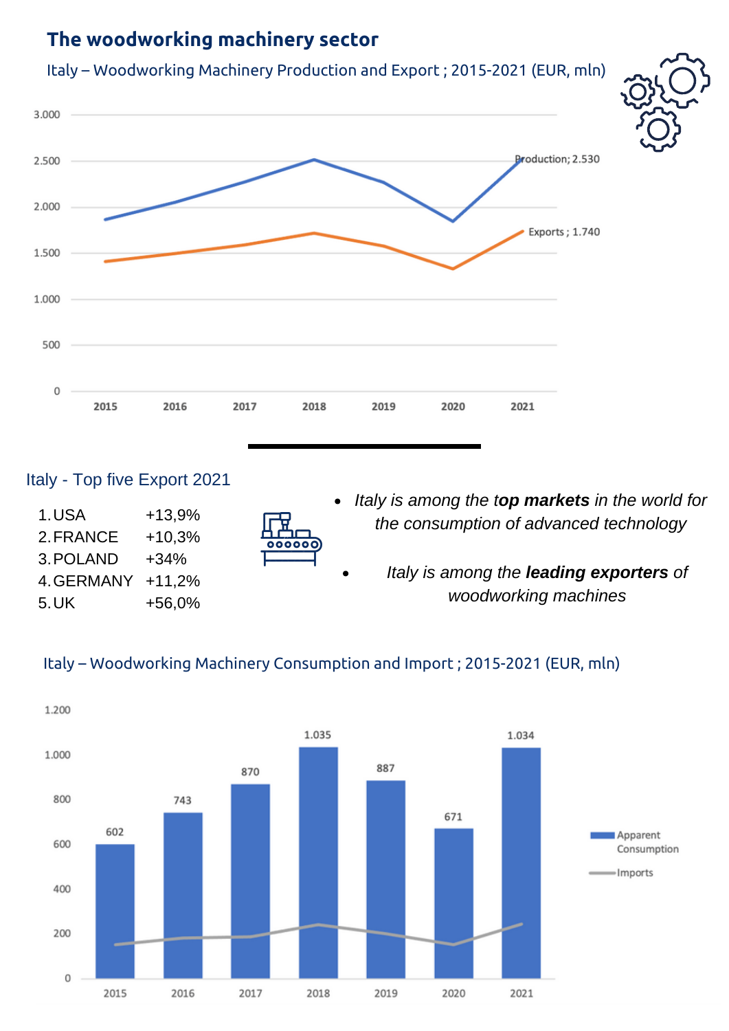# **The woodworking machinery sector**



#### Italy - Top five Export 2021

| 1.USA      | $+13,9%$ |
|------------|----------|
| 2. FRANCE  | +10,3%   |
| 3. POLAND  | +34%     |
| 4. GERMANY | $+11.2%$ |
| 5. UK      | +56,0%   |



- *Italy is among the top markets in the world for the consumption of advanced technology*
	- *Italy is among the leading exporters of woodworking machines*

#### Italy – Woodworking Machinery Consumption and Import ; 2015-2021 (EUR, mln)